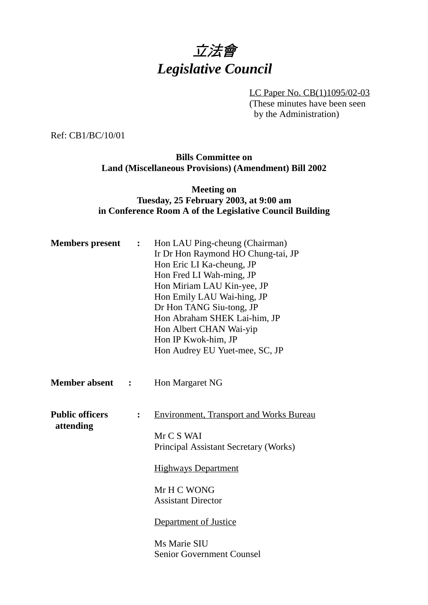

LC Paper No. CB(1)1095/02-03 (These minutes have been seen by the Administration)

Ref: CB1/BC/10/01

## **Bills Committee on Land (Miscellaneous Provisions) (Amendment) Bill 2002**

## **Meeting on Tuesday, 25 February 2003, at 9:00 am in Conference Room A of the Legislative Council Building**

| <b>Members</b> present              | $\ddot{\cdot}$ | Hon LAU Ping-cheung (Chairman)<br>Ir Dr Hon Raymond HO Chung-tai, JP<br>Hon Eric LI Ka-cheung, JP<br>Hon Fred LI Wah-ming, JP<br>Hon Miriam LAU Kin-yee, JP<br>Hon Emily LAU Wai-hing, JP<br>Dr Hon TANG Siu-tong, JP<br>Hon Abraham SHEK Lai-him, JP<br>Hon Albert CHAN Wai-yip<br>Hon IP Kwok-him, JP<br>Hon Audrey EU Yuet-mee, SC, JP |
|-------------------------------------|----------------|-------------------------------------------------------------------------------------------------------------------------------------------------------------------------------------------------------------------------------------------------------------------------------------------------------------------------------------------|
| <b>Member absent</b>                | $\ddot{\cdot}$ | Hon Margaret NG                                                                                                                                                                                                                                                                                                                           |
| <b>Public officers</b><br>attending | $\ddot{\cdot}$ | <b>Environment, Transport and Works Bureau</b><br>Mr C S WAI<br>Principal Assistant Secretary (Works)<br><b>Highways Department</b><br>Mr H C WONG<br><b>Assistant Director</b><br>Department of Justice<br>Ms Marie SIU<br><b>Senior Government Counsel</b>                                                                              |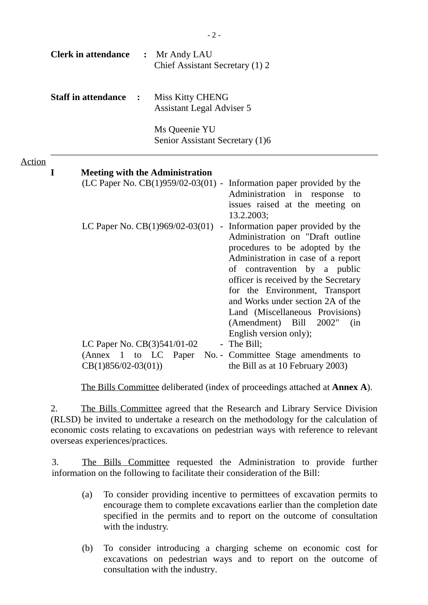|               |             | <b>Clerk in attendance</b>                                              | $\ddot{\cdot}$       | Mr Andy LAU<br>Chief Assistant Secretary (1) 2                               |                                                                                                                                                                                                                                                                                                                                                                                                   |
|---------------|-------------|-------------------------------------------------------------------------|----------------------|------------------------------------------------------------------------------|---------------------------------------------------------------------------------------------------------------------------------------------------------------------------------------------------------------------------------------------------------------------------------------------------------------------------------------------------------------------------------------------------|
|               |             | <b>Staff in attendance</b>                                              | $\ddot{\phantom{1}}$ | <b>Miss Kitty CHENG</b><br><b>Assistant Legal Adviser 5</b>                  |                                                                                                                                                                                                                                                                                                                                                                                                   |
|               |             |                                                                         |                      | Ms Queenie YU<br>Senior Assistant Secretary (1)6                             |                                                                                                                                                                                                                                                                                                                                                                                                   |
| <b>Action</b> | $\mathbf I$ |                                                                         |                      | <b>Meeting with the Administration</b><br>(LC Paper No. CB(1)959/02-03(01) - | Information paper provided by the<br>Administration in response<br>to<br>issues raised at the meeting on<br>13.2.2003;                                                                                                                                                                                                                                                                            |
|               |             |                                                                         |                      | LC Paper No. $CB(1)969/02-03(01)$                                            | - Information paper provided by the<br>Administration on "Draft outline<br>procedures to be adopted by the<br>Administration in case of a report<br>of contravention by a public<br>officer is received by the Secretary<br>for the Environment, Transport<br>and Works under section 2A of the<br>Land (Miscellaneous Provisions)<br>(Amendment) Bill<br>2002"<br>(in)<br>English version only); |
|               |             | LC Paper No. CB(3)541/01-02<br>(Annex 1 to LC)<br>$CB(1)856/02-03(01))$ |                      | Paper                                                                        | - The Bill;<br>No. - Committee Stage amendments to<br>the Bill as at 10 February 2003)                                                                                                                                                                                                                                                                                                            |

 $-2-$ 

The Bills Committee deliberated (index of proceedings attached at **Annex A**).

2. The Bills Committee agreed that the Research and Library Service Division (RLSD) be invited to undertake a research on the methodology for the calculation of economic costs relating to excavations on pedestrian ways with reference to relevant overseas experiences/practices.

3. The Bills Committee requested the Administration to provide further information on the following to facilitate their consideration of the Bill:

- (a) To consider providing incentive to permittees of excavation permits to encourage them to complete excavations earlier than the completion date specified in the permits and to report on the outcome of consultation with the industry.
- (b) To consider introducing a charging scheme on economic cost for excavations on pedestrian ways and to report on the outcome of consultation with the industry.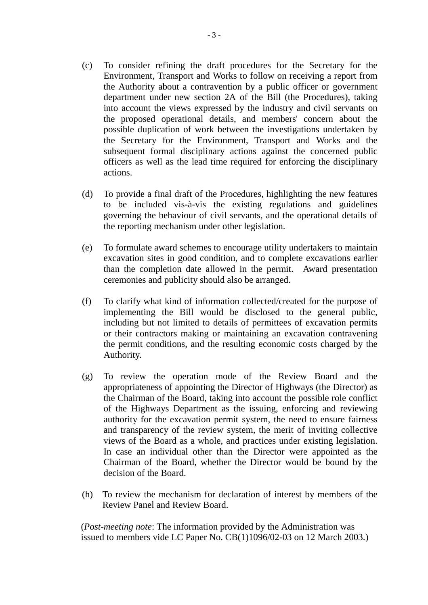- (c) To consider refining the draft procedures for the Secretary for the Environment, Transport and Works to follow on receiving a report from the Authority about a contravention by a public officer or government department under new section 2A of the Bill (the Procedures), taking into account the views expressed by the industry and civil servants on the proposed operational details, and members' concern about the possible duplication of work between the investigations undertaken by the Secretary for the Environment, Transport and Works and the subsequent formal disciplinary actions against the concerned public officers as well as the lead time required for enforcing the disciplinary actions.
- (d) To provide a final draft of the Procedures, highlighting the new features to be included vis-à-vis the existing regulations and guidelines governing the behaviour of civil servants, and the operational details of the reporting mechanism under other legislation.
- (e) To formulate award schemes to encourage utility undertakers to maintain excavation sites in good condition, and to complete excavations earlier than the completion date allowed in the permit. Award presentation ceremonies and publicity should also be arranged.
- (f) To clarify what kind of information collected/created for the purpose of implementing the Bill would be disclosed to the general public, including but not limited to details of permittees of excavation permits or their contractors making or maintaining an excavation contravening the permit conditions, and the resulting economic costs charged by the Authority.
- (g) To review the operation mode of the Review Board and the appropriateness of appointing the Director of Highways (the Director) as the Chairman of the Board, taking into account the possible role conflict of the Highways Department as the issuing, enforcing and reviewing authority for the excavation permit system, the need to ensure fairness and transparency of the review system, the merit of inviting collective views of the Board as a whole, and practices under existing legislation. In case an individual other than the Director were appointed as the Chairman of the Board, whether the Director would be bound by the decision of the Board.
- (h) To review the mechanism for declaration of interest by members of the Review Panel and Review Board.

(*Post-meeting note*: The information provided by the Administration was issued to members vide LC Paper No. CB(1)1096/02-03 on 12 March 2003.)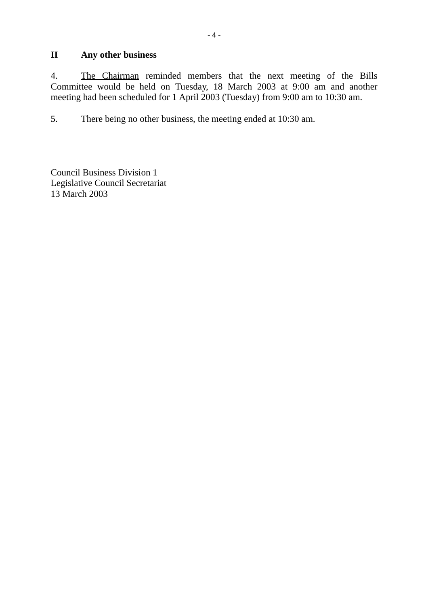## **II Any other business**

4. The Chairman reminded members that the next meeting of the Bills Committee would be held on Tuesday, 18 March 2003 at 9:00 am and another meeting had been scheduled for 1 April 2003 (Tuesday) from 9:00 am to 10:30 am.

5. There being no other business, the meeting ended at 10:30 am.

Council Business Division 1 Legislative Council Secretariat 13 March 2003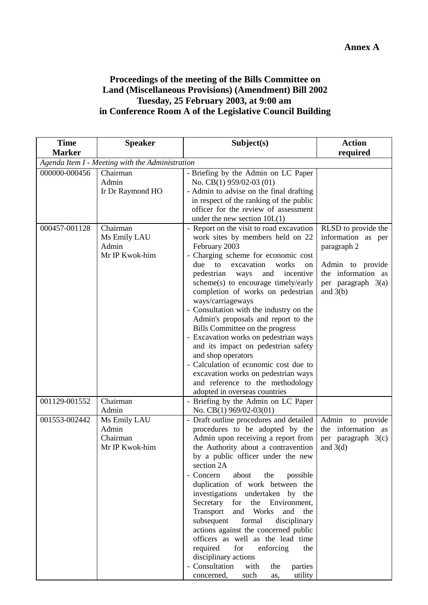## **Proceedings of the meeting of the Bills Committee on Land (Miscellaneous Provisions) (Amendment) Bill 2002 Tuesday, 25 February 2003, at 9:00 am in Conference Room A of the Legislative Council Building**

| <b>Time</b>                                     | <b>Speaker</b>                                      | Subject(s)                                                                                                                                                                                                                                                                                                                                                                                                                                                                                                                                                                                                                                                                                                | <b>Action</b>                                                                                                                          |  |  |
|-------------------------------------------------|-----------------------------------------------------|-----------------------------------------------------------------------------------------------------------------------------------------------------------------------------------------------------------------------------------------------------------------------------------------------------------------------------------------------------------------------------------------------------------------------------------------------------------------------------------------------------------------------------------------------------------------------------------------------------------------------------------------------------------------------------------------------------------|----------------------------------------------------------------------------------------------------------------------------------------|--|--|
| <b>Marker</b>                                   |                                                     |                                                                                                                                                                                                                                                                                                                                                                                                                                                                                                                                                                                                                                                                                                           | required                                                                                                                               |  |  |
| Agenda Item I - Meeting with the Administration |                                                     |                                                                                                                                                                                                                                                                                                                                                                                                                                                                                                                                                                                                                                                                                                           |                                                                                                                                        |  |  |
| 000000-000456                                   | Chairman<br>Admin<br>Ir Dr Raymond HO               | - Briefing by the Admin on LC Paper<br>No. CB(1) 959/02-03 (01)<br>- Admin to advise on the final drafting<br>in respect of the ranking of the public<br>officer for the review of assessment<br>under the new section $10L(1)$                                                                                                                                                                                                                                                                                                                                                                                                                                                                           |                                                                                                                                        |  |  |
| 000457-001128                                   | Chairman<br>Ms Emily LAU<br>Admin<br>Mr IP Kwok-him | - Report on the visit to road excavation<br>work sites by members held on 22<br>February 2003<br>- Charging scheme for economic cost<br>excavation<br>due<br>to<br>works<br>on<br>incentive<br>pedestrian<br>and<br>ways<br>scheme(s) to encourage timely/early<br>completion of works on pedestrian<br>ways/carriageways<br>- Consultation with the industry on the<br>Admin's proposals and report to the<br>Bills Committee on the progress<br>- Excavation works on pedestrian ways<br>and its impact on pedestrian safety<br>and shop operators<br>- Calculation of economic cost due to<br>excavation works on pedestrian ways<br>and reference to the methodology<br>adopted in overseas countries | RLSD to provide the<br>information as per<br>paragraph 2<br>Admin to provide<br>the information as<br>per paragraph 3(a)<br>and $3(b)$ |  |  |
| 001129-001552                                   | Chairman<br>Admin                                   | - Briefing by the Admin on LC Paper<br>No. CB(1) 969/02-03(01)                                                                                                                                                                                                                                                                                                                                                                                                                                                                                                                                                                                                                                            |                                                                                                                                        |  |  |
| 001553-002442                                   | Ms Emily LAU<br>Admin<br>Chairman<br>Mr IP Kwok-him | - Draft outline procedures and detailed<br>procedures to be adopted by the<br>Admin upon receiving a report from<br>the Authority about a contravention<br>by a public officer under the new<br>section 2A<br>- Concern<br>about<br>the<br>possible<br>duplication of work between the<br>investigations undertaken by the<br>the Environment,<br>Secretary for<br>Transport<br>and Works<br>and<br>the<br>subsequent<br>formal<br>disciplinary<br>actions against the concerned public<br>officers as well as the lead time<br>required for<br>enforcing<br>the<br>disciplinary actions<br>- Consultation<br>with<br>parties<br>the<br>utility<br>concerned,<br>such<br>as,                              | Admin to provide<br>information as<br>the<br>per paragraph 3(c)<br>and $3(d)$                                                          |  |  |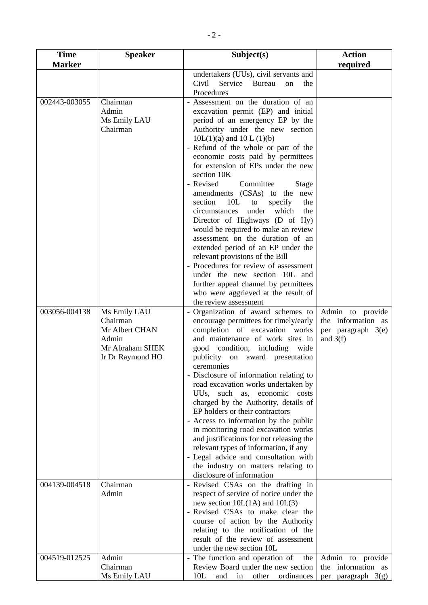| <b>Time</b>   | <b>Speaker</b>   | Subject(s)                                                                    | <b>Action</b>         |
|---------------|------------------|-------------------------------------------------------------------------------|-----------------------|
| <b>Marker</b> |                  |                                                                               | required              |
|               |                  | undertakers (UUs), civil servants and                                         |                       |
|               |                  | Civil<br>Service Bureau<br>the<br><sub>on</sub><br>Procedures                 |                       |
| 002443-003055 | Chairman         | - Assessment on the duration of an                                            |                       |
|               | Admin            | excavation permit (EP) and initial                                            |                       |
|               | Ms Emily LAU     | period of an emergency EP by the                                              |                       |
|               | Chairman         | Authority under the new section                                               |                       |
|               |                  | $10L(1)(a)$ and $10L(1)(b)$                                                   |                       |
|               |                  | - Refund of the whole or part of the                                          |                       |
|               |                  | economic costs paid by permittees                                             |                       |
|               |                  | for extension of EPs under the new                                            |                       |
|               |                  | section 10K                                                                   |                       |
|               |                  | - Revised<br>Committee<br>Stage                                               |                       |
|               |                  | amendments (CSAs) to the new<br>10L<br>section<br>specify<br>the<br>to        |                       |
|               |                  | which<br>circumstances<br>under<br>the                                        |                       |
|               |                  | Director of Highways (D of Hy)                                                |                       |
|               |                  | would be required to make an review                                           |                       |
|               |                  | assessment on the duration of an                                              |                       |
|               |                  | extended period of an EP under the                                            |                       |
|               |                  | relevant provisions of the Bill                                               |                       |
|               |                  | - Procedures for review of assessment                                         |                       |
|               |                  | under the new section 10L and                                                 |                       |
|               |                  | further appeal channel by permittees<br>who were aggrieved at the result of   |                       |
|               |                  | the review assessment                                                         |                       |
| 003056-004138 | Ms Emily LAU     | - Organization of award schemes to                                            | Admin to provide      |
|               | Chairman         | encourage permittees for timely/early                                         | the information as    |
|               | Mr Albert CHAN   | completion of excavation works                                                | per paragraph 3(e)    |
|               | Admin            | and maintenance of work sites in                                              | and $3(f)$            |
|               | Mr Abraham SHEK  | good condition, including wide                                                |                       |
|               | Ir Dr Raymond HO | publicity on award presentation                                               |                       |
|               |                  | ceremonies<br>- Disclosure of information relating to                         |                       |
|               |                  | road excavation works undertaken by                                           |                       |
|               |                  | such as,<br>economic<br>UUs,<br>costs                                         |                       |
|               |                  | charged by the Authority, details of                                          |                       |
|               |                  | EP holders or their contractors                                               |                       |
|               |                  | - Access to information by the public                                         |                       |
|               |                  | in monitoring road excavation works                                           |                       |
|               |                  | and justifications for not releasing the                                      |                       |
|               |                  | relevant types of information, if any<br>- Legal advice and consultation with |                       |
|               |                  | the industry on matters relating to                                           |                       |
|               |                  | disclosure of information                                                     |                       |
| 004139-004518 | Chairman         | - Revised CSAs on the drafting in                                             |                       |
|               | Admin            | respect of service of notice under the                                        |                       |
|               |                  | new section $10L(1A)$ and $10L(3)$                                            |                       |
|               |                  | - Revised CSAs to make clear the                                              |                       |
|               |                  | course of action by the Authority<br>relating to the notification of the      |                       |
|               |                  | result of the review of assessment                                            |                       |
|               |                  | under the new section 10L                                                     |                       |
| 004519-012525 | Admin            | - The function and operation of<br>the                                        | Admin to provide      |
|               | Chairman         | Review Board under the new section                                            | information as<br>the |
|               | Ms Emily LAU     | 10L<br>other<br>ordinances<br>and<br>in                                       | per paragraph $3(g)$  |